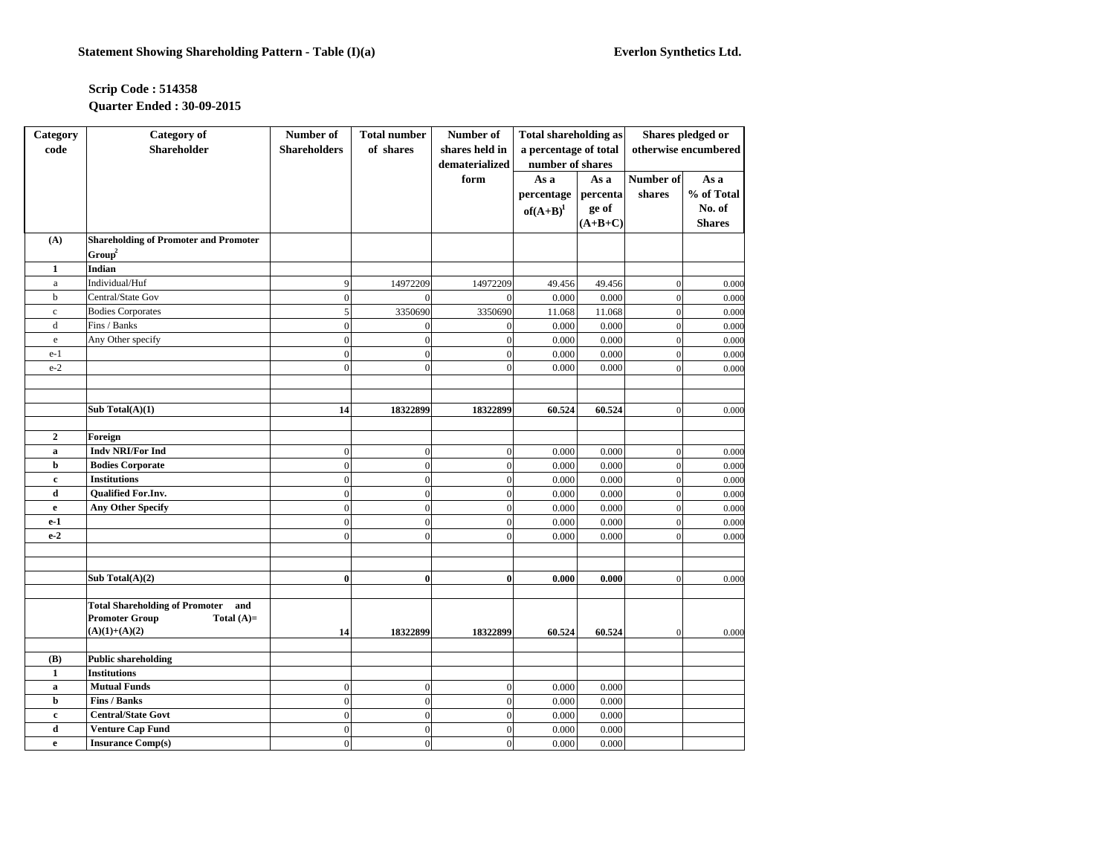## **Scrip Code : 514358 Quarter Ended : 30-09-2015**

| Category       | <b>Category</b> of                           | Number of           | <b>Total number</b> | Number of        | <b>Total shareholding as</b> |           | Shares pledged or    |               |
|----------------|----------------------------------------------|---------------------|---------------------|------------------|------------------------------|-----------|----------------------|---------------|
| code           | <b>Shareholder</b>                           | <b>Shareholders</b> | of shares           | shares held in   | a percentage of total        |           | otherwise encumbered |               |
|                |                                              |                     |                     | dematerialized   | number of shares             |           |                      |               |
|                |                                              |                     |                     | form             | As a                         | As a      | Number of            | As a          |
|                |                                              |                     |                     |                  | percentage                   | percenta  | shares               | % of Total    |
|                |                                              |                     |                     |                  | $of(A+B)^1$                  | ge of     |                      | No. of        |
|                |                                              |                     |                     |                  |                              | $(A+B+C)$ |                      | <b>Shares</b> |
| (A)            | <b>Shareholding of Promoter and Promoter</b> |                     |                     |                  |                              |           |                      |               |
|                | Group <sup>2</sup>                           |                     |                     |                  |                              |           |                      |               |
| 1              | Indian                                       |                     |                     |                  |                              |           |                      |               |
| $\rm{a}$       | Individual/Huf                               | 9                   | 14972209            | 14972209         | 49.456                       | 49.456    | $\boldsymbol{0}$     | 0.000         |
| $\mathbf b$    | Central/State Gov                            | $\theta$            | $\Omega$            | $\theta$         | 0.000                        | 0.000     | $\overline{0}$       | 0.000         |
| $\mathbf c$    | <b>Bodies Corporates</b>                     | 5                   | 3350690             | 3350690          | 11.068                       | 11.068    | $\boldsymbol{0}$     | 0.000         |
| $\rm d$        | Fins / Banks                                 | $\overline{0}$      | $\mathbf{0}$        | $\boldsymbol{0}$ | 0.000                        | 0.000     | $\boldsymbol{0}$     | 0.000         |
| e              | Any Other specify                            | $\theta$            | $\theta$            | $\overline{0}$   | 0.000                        | 0.000     | $\overline{0}$       | 0.000         |
| $e-1$          |                                              | $\overline{0}$      | $\mathbf{0}$        | $\boldsymbol{0}$ | 0.000                        | 0.000     | $\boldsymbol{0}$     | 0.000         |
| $e-2$          |                                              | $\overline{0}$      | $\mathbf{0}$        | $\overline{0}$   | 0.000                        | 0.000     | $\overline{0}$       | 0.000         |
|                |                                              |                     |                     |                  |                              |           |                      |               |
|                |                                              |                     |                     |                  |                              |           |                      |               |
|                | Sub Total $(A)(1)$                           | 14                  | 18322899            | 18322899         | 60.524                       | 60.524    | $\mathbf{0}$         | 0.000         |
|                |                                              |                     |                     |                  |                              |           |                      |               |
| $\overline{2}$ | Foreign                                      |                     |                     |                  |                              |           |                      |               |
| $\bf{a}$       | <b>Indy NRI/For Ind</b>                      | $\overline{0}$      | $\boldsymbol{0}$    | $\boldsymbol{0}$ | 0.000                        | 0.000     | $\boldsymbol{0}$     | 0.000         |
| b              | <b>Bodies Corporate</b>                      | $\overline{0}$      | $\overline{0}$      | $\boldsymbol{0}$ | 0.000                        | 0.000     | $\overline{0}$       | 0.000         |
| $\mathbf c$    | <b>Institutions</b>                          | $\overline{0}$      | $\mathbf{0}$        | $\boldsymbol{0}$ | 0.000                        | 0.000     | $\overline{0}$       | 0.000         |
| d              | Qualified For.Inv.                           | $\overline{0}$      | $\mathbf{0}$        | $\boldsymbol{0}$ | 0.000                        | 0.000     | $\boldsymbol{0}$     | 0.000         |
| $\mathbf{e}$   | <b>Any Other Specify</b>                     | $\theta$            | $\overline{0}$      | $\boldsymbol{0}$ | 0.000                        | 0.000     | $\overline{0}$       | 0.000         |
| $e-1$          |                                              | $\overline{0}$      | $\mathbf{0}$        | $\boldsymbol{0}$ | 0.000                        | 0.000     | $\overline{0}$       | 0.000         |
| $e-2$          |                                              | $\overline{0}$      | $\mathbf{0}$        | $\boldsymbol{0}$ | 0.000                        | 0.000     | $\boldsymbol{0}$     | 0.000         |
|                |                                              |                     |                     |                  |                              |           |                      |               |
|                |                                              |                     |                     |                  |                              |           |                      |               |
|                | Sub Total $(A)(2)$                           | $\bf{0}$            | $\bf{0}$            | $\bf{0}$         | 0.000                        | 0.000     | $\boldsymbol{0}$     | 0.000         |
|                |                                              |                     |                     |                  |                              |           |                      |               |
|                | <b>Total Shareholding of Promoter</b><br>and |                     |                     |                  |                              |           |                      |               |
|                | <b>Promoter Group</b><br>Total $(A)=$        |                     |                     |                  |                              |           |                      |               |
|                | $(A)(1)+(A)(2)$                              | 14                  | 18322899            | 18322899         | 60.524                       | 60.524    | $\overline{0}$       | 0.000         |
|                |                                              |                     |                     |                  |                              |           |                      |               |
| (B)            | <b>Public shareholding</b>                   |                     |                     |                  |                              |           |                      |               |
| $\mathbf{1}$   | <b>Institutions</b>                          |                     |                     |                  |                              |           |                      |               |
| a              | <b>Mutual Funds</b>                          | $\overline{0}$      | $\mathbf{0}$        | $\boldsymbol{0}$ | 0.000                        | 0.000     |                      |               |
| b              | <b>Fins / Banks</b>                          | $\mathbf{0}$        | $\boldsymbol{0}$    | $\boldsymbol{0}$ | 0.000                        | 0.000     |                      |               |
| $\mathbf c$    | <b>Central/State Govt</b>                    | $\overline{0}$      | $\overline{0}$      | $\mathbf{0}$     | 0.000                        | 0.000     |                      |               |
| $\mathbf d$    | <b>Venture Cap Fund</b>                      | $\overline{0}$      | $\mathbf{0}$        | $\boldsymbol{0}$ | 0.000                        | 0.000     |                      |               |
| e              | <b>Insurance Comp(s)</b>                     | $\overline{0}$      | $\mathbf{0}$        | $\mathbf{0}$     | 0.000                        | 0.000     |                      |               |